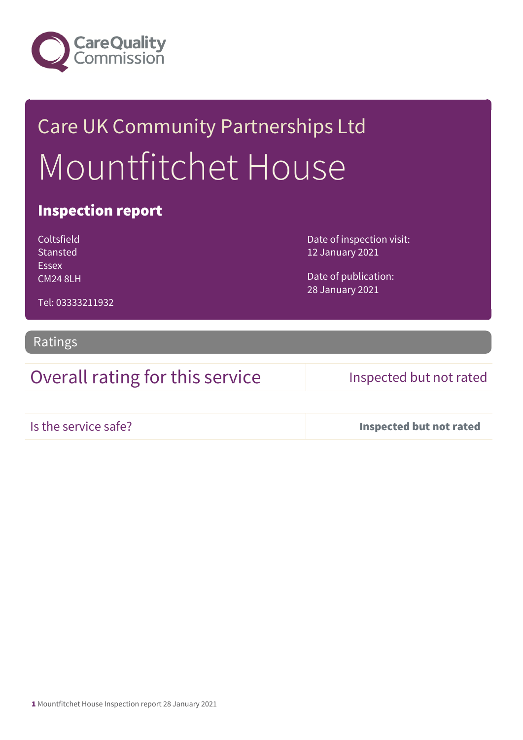

# Care UK Community Partnerships Ltd Mountfitchet House

### Inspection report

Coltsfield Stansted Essex CM24 8LH Date of inspection visit: 12 January 2021

Date of publication: 28 January 2021

Ratings

Tel: 03333211932

Overall rating for this service Inspected but not rated

Is the service safe? Inspected but not rated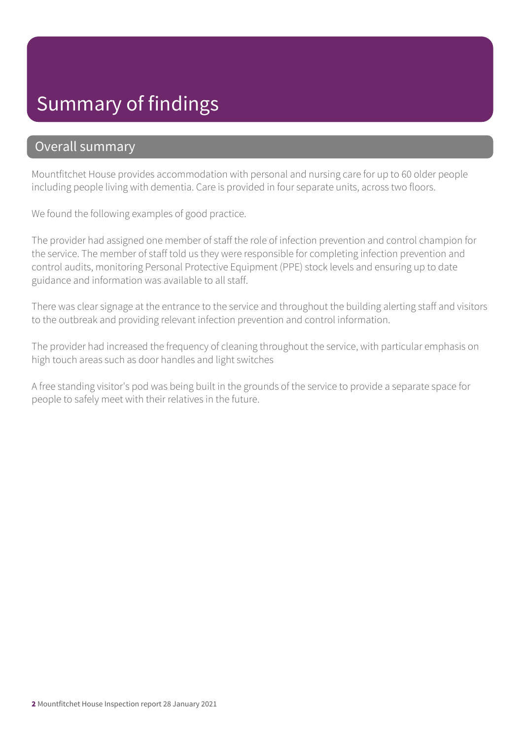## Summary of findings

### Overall summary

Mountfitchet House provides accommodation with personal and nursing care for up to 60 older people including people living with dementia. Care is provided in four separate units, across two floors.

We found the following examples of good practice.

The provider had assigned one member of staff the role of infection prevention and control champion for the service. The member of staff told us they were responsible for completing infection prevention and control audits, monitoring Personal Protective Equipment (PPE) stock levels and ensuring up to date guidance and information was available to all staff.

There was clear signage at the entrance to the service and throughout the building alerting staff and visitors to the outbreak and providing relevant infection prevention and control information.

The provider had increased the frequency of cleaning throughout the service, with particular emphasis on high touch areas such as door handles and light switches

A free standing visitor's pod was being built in the grounds of the service to provide a separate space for people to safely meet with their relatives in the future.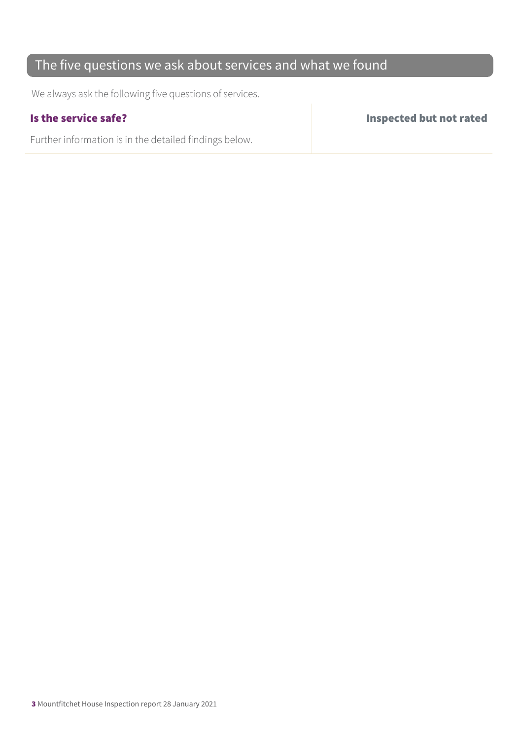### The five questions we ask about services and what we found

We always ask the following five questions of services.

Further information is in the detailed findings below.

Is the service safe? Inspected but not rated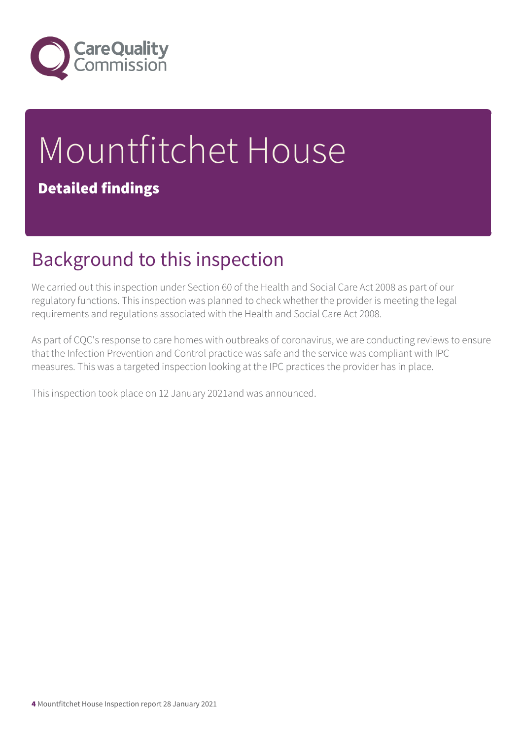

# Mountfitchet House Detailed findings

## Background to this inspection

We carried out this inspection under Section 60 of the Health and Social Care Act 2008 as part of our regulatory functions. This inspection was planned to check whether the provider is meeting the legal requirements and regulations associated with the Health and Social Care Act 2008.

As part of CQC's response to care homes with outbreaks of coronavirus, we are conducting reviews to ensure that the Infection Prevention and Control practice was safe and the service was compliant with IPC measures. This was a targeted inspection looking at the IPC practices the provider has in place.

This inspection took place on 12 January 2021and was announced.